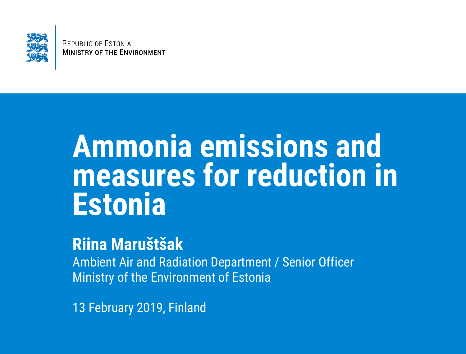

**REPUBLIC OF ESTONIA MINISTRY OF THE ENVIRONMENT** 

### **Ammonia emissions and measures for reduction in Estonia**

#### **Riina Maruštšak**

Ambient Air and Radiation Department / Senior Officer Ministry of the Environment of Estonia

13 February 2019, Finland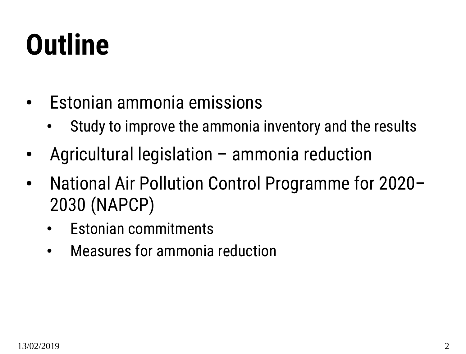### **Outline**

- Estonian ammonia emissions
	- Study to improve the ammonia inventory and the results
- Agricultural legislation ammonia reduction
- National Air Pollution Control Programme for 2020– 2030 (NAPCP)
	- Estonian commitments
	- Measures for ammonia reduction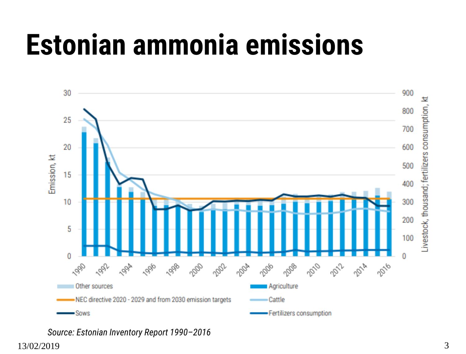### **Estonian ammonia emissions**



<sup>13/02/2019</sup> 3 *Source: Estonian Inventory Report 1990–2016*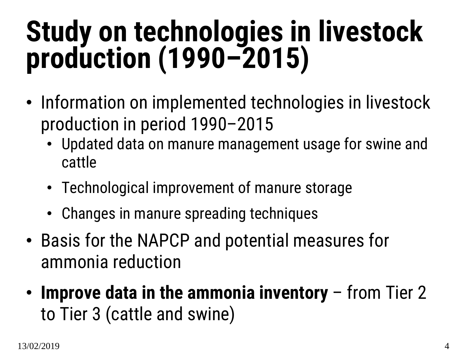### **Study on technologies in livestock production (1990–2015)**

- Information on implemented technologies in livestock production in period 1990–2015
	- Updated data on manure management usage for swine and cattle
	- Technological improvement of manure storage
	- Changes in manure spreading techniques
- Basis for the NAPCP and potential measures for ammonia reduction
- **Improve data in the ammonia inventory**  from Tier 2 to Tier 3 (cattle and swine)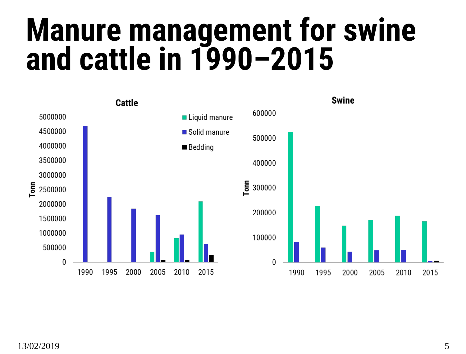### **Manure management for swine and cattle in 1990–2015**

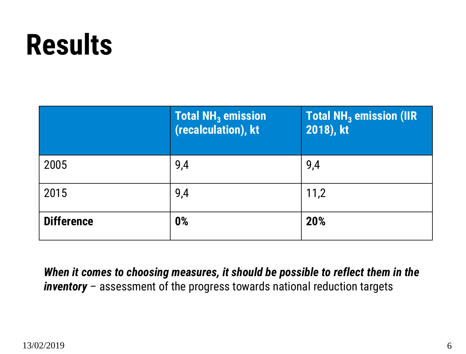### **Results**

|                   | <b>Total NH<sub>3</sub></b> emission<br>(recalculation), kt | <b>Total NH<sub>3</sub></b> emission (IIR<br>2018), kt |
|-------------------|-------------------------------------------------------------|--------------------------------------------------------|
| 2005              | 9,4                                                         | 9,4                                                    |
| 2015              | 9,4                                                         | 11,2                                                   |
| <b>Difference</b> | 0%                                                          | 20%                                                    |

*When it comes to choosing measures, it should be possible to reflect them in the inventory* – assessment of the progress towards national reduction targets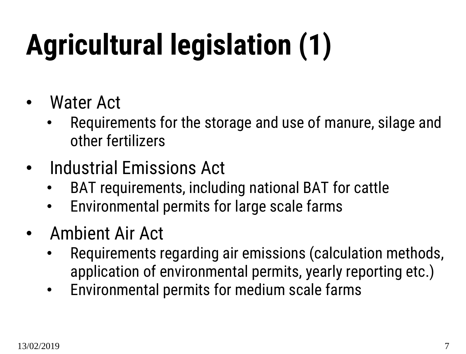# **Agricultural legislation (1)**

- Water Act
	- Requirements for the storage and use of manure, silage and other fertilizers
- Industrial Emissions Act
	- BAT requirements, including national BAT for cattle
	- Environmental permits for large scale farms
- Ambient Air Act
	- Requirements regarding air emissions (calculation methods, application of environmental permits, yearly reporting etc.)
	- Environmental permits for medium scale farms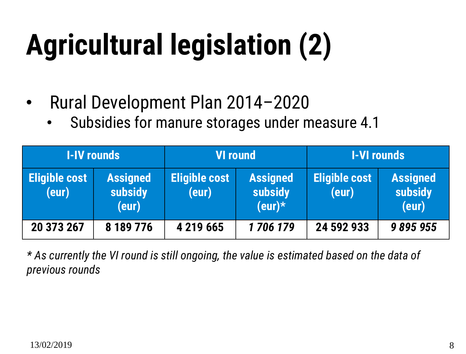# **Agricultural legislation (2)**

- Rural Development Plan 2014–2020
	- Subsidies for manure storages under measure 4.1

|                               | <b>I-IV rounds</b>                  | <b>VI round</b>               |                                         | <b>I-VI rounds</b>            |                                     |
|-------------------------------|-------------------------------------|-------------------------------|-----------------------------------------|-------------------------------|-------------------------------------|
| <b>Eligible cost</b><br>(eur) | <b>Assigned</b><br>subsidy<br>(eur) | <b>Eligible cost</b><br>(eur) | <b>Assigned</b><br>subsidy<br>$(eur)^*$ | <b>Eligible cost</b><br>(eur) | <b>Assigned</b><br>subsidy<br>(eur) |
| 20 373 267                    | 8 189 776                           | 4 219 665                     | 1706179                                 | 24 592 933                    | 9895955                             |

*\* As currently the VI round is still ongoing, the value is estimated based on the data of previous rounds*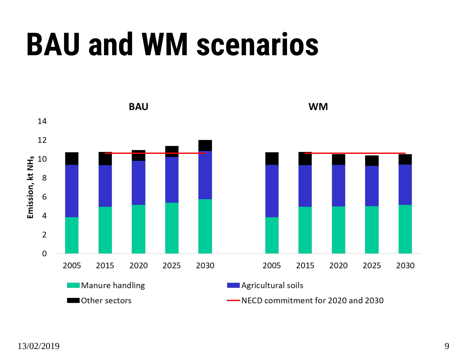### **BAU and WM scenarios**

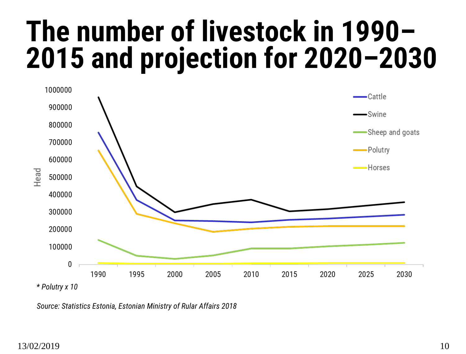### **The number of livestock in 1990– 2015 and projection for 2020–2030**



*Source: Statistics Estonia, Estonian Ministry of Rular Affairs 2018*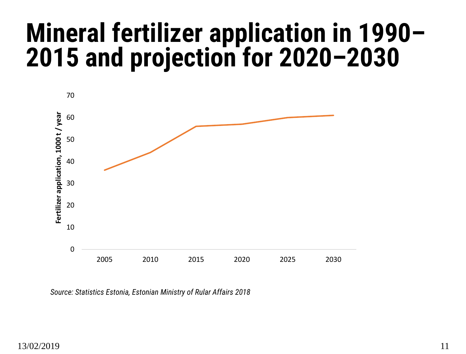#### **Mineral fertilizer application in 1990– 2015 and projection for 2020–2030**



*Source: Statistics Estonia, Estonian Ministry of Rular Affairs 2018*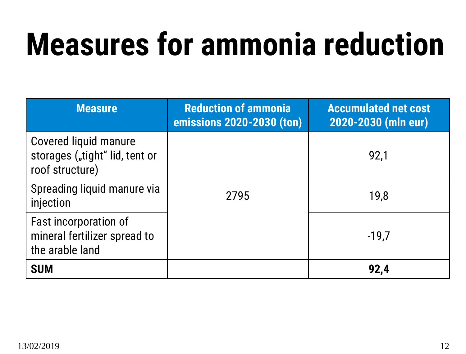## **Measures for ammonia reduction**

| <b>Measure</b>                                                                    | <b>Reduction of ammonia</b><br>emissions 2020-2030 (ton) | <b>Accumulated net cost</b><br>2020-2030 (mln eur) |  |
|-----------------------------------------------------------------------------------|----------------------------------------------------------|----------------------------------------------------|--|
| <b>Covered liquid manure</b><br>storages ("tight" lid, tent or<br>roof structure) |                                                          | 92,1                                               |  |
| Spreading liquid manure via<br>injection                                          | 2795                                                     | 19,8                                               |  |
| Fast incorporation of<br>mineral fertilizer spread to<br>the arable land          |                                                          | $-19,7$                                            |  |
| <b>SUM</b>                                                                        |                                                          | 92,4                                               |  |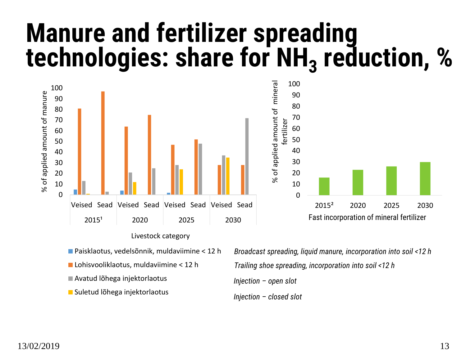#### **Manure and fertilizer spreading technologies: share for NH<sup>3</sup> reduction, %**





- Paisklaotus, vedelsõnnik, muldaviimine < 12 h
- **Lohisvooliklaotus, muldaviimine < 12 h**
- Avatud lõhega injektorlaotus
- Suletud lõhega injektorlaotus

*Broadcast spreading, liquid manure, incorporation into soil <12 h Trailing shoe spreading, incorporation into soil <12 h Injection – open slot Injection – closed slot*

2015² 2020 2025 2030

Fast incorporation of mineral fertilizer

% of applied amount of mineral fertilizer

ې

of applied amount of mineral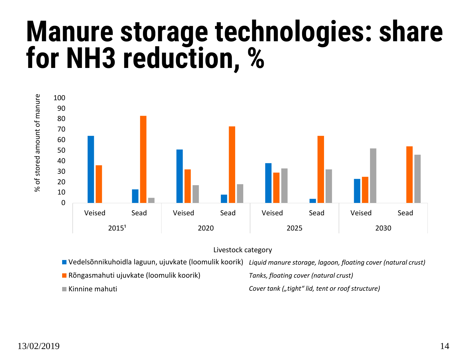#### **Manure storage technologies: share for NH3 reduction, %**





- Vedelsõnnikuhoidla laguun, ujuvkate (loomulik koorik) *Liquid manure storage, lagoon, floating cover (natural crust)*
- Rõngasmahuti ujuvkate (loomulik koorik)
- Kinnine mahuti

*Tanks, floating cover (natural crust)*

*Cover tank ("tight" lid, tent or roof structure)*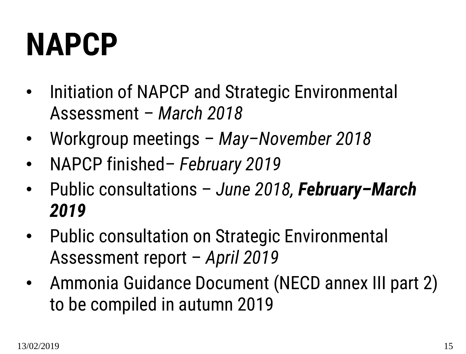## **NAPCP**

- Initiation of NAPCP and Strategic Environmental Assessment – *March 2018*
- Workgroup meetings *May–November 2018*
- NAPCP finished– *February 2019*
- Public consultations *June 2018, February–March 2019*
- Public consultation on Strategic Environmental Assessment report – *April 2019*
- Ammonia Guidance Document (NECD annex III part 2) to be compiled in autumn 2019